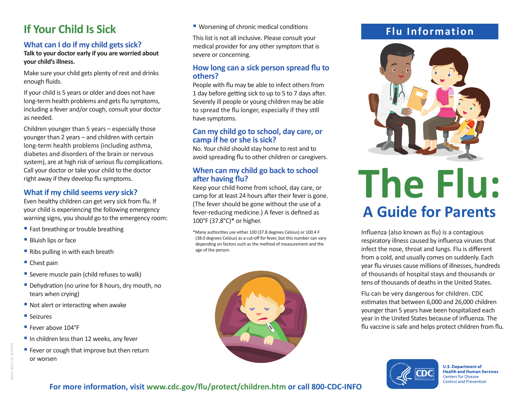## **If Your Child Is Sick**

#### **What can I do if my child gets sick?**

#### **Talk to your doctor early if you are worried about your child's illness.**

Make sure your child gets plenty of rest and drinks enough fluids.

If your child is 5 years or older and does not have long-term health problems and gets flu symptoms, including a fever and/or cough, consult your doctor as needed.

Children younger than 5 years – especially those younger than 2 years – and children with certain long-term health problems (including asthma, diabetes and disorders of the brain or nervous system), are at high risk of serious flu complications. Call your doctor or take your child to the doctor right away if they develop flu symptoms.

#### **What if my child seems** *very* **sick?**

Even healthy children can get very sick from flu. If your child is experiencing the following emergency warning signs, you should go to the emergency room:

- Fast breathing or trouble breathing
- Bluish lips or face
- Ribs pulling in with each breath
- Chest pain
- Severe muscle pain (child refuses to walk)
- Dehydration (no urine for 8 hours, dry mouth, no tears when crying)
- Not alert or interacting when awake
- Seizures
- Fever above 104°F
- In children less than 12 weeks, any fever
- Fever or cough that improve but then return or worsen

■ Worsening of chronic medical conditions

This list is not all inclusive. Please consult your medical provider for any other symptom that is severe or concerning.

#### **How long can a sick person spread flu to others?**

People with flu may be able to infect others from 1 day before getting sick to up to 5 to 7 days after. Severely ill people or young children may be able to spread the flu longer, especially if they still have symptoms.

#### **Can my child go to school, day care, or camp if he or she is sick?**

No. Your child should stay home to rest and to avoid spreading flu to other children or caregivers.

#### **When can my child go back to school after having flu?**

Keep your child home from school, day care, or camp for at least 24 hours after their fever is gone. (The fever should be gone without the use of a fever-reducing medicine.) A fever is defined as 100°F (37.8°C)\* or higher.

\*Many authorities use either 100 (37.8 degrees Celsius) or 100.4 F (38.0 degrees Celsius) as a cut-off for fever, but this number can vary depending on factors such as the method of measurement and the age of the person.



### **Flu Information**



# **The Flu: A Guide for Parents**

Influenza (also known as flu) is a contagious respiratory illness caused by influenza viruses that infect the nose, throat and lungs. Flu is different from a cold, and usually comes on suddenly. Each year flu viruses cause millions of illnesses, hundreds of thousands of hospital stays and thousands or tens of thousands of deaths in the United States.

Flu can be very dangerous for children. CDC estimates that between 6,000 and 26,000 children younger than 5 years have been hospitalized each year in the United States because of influenza. The flu vaccine is safe and helps protect children from flu.